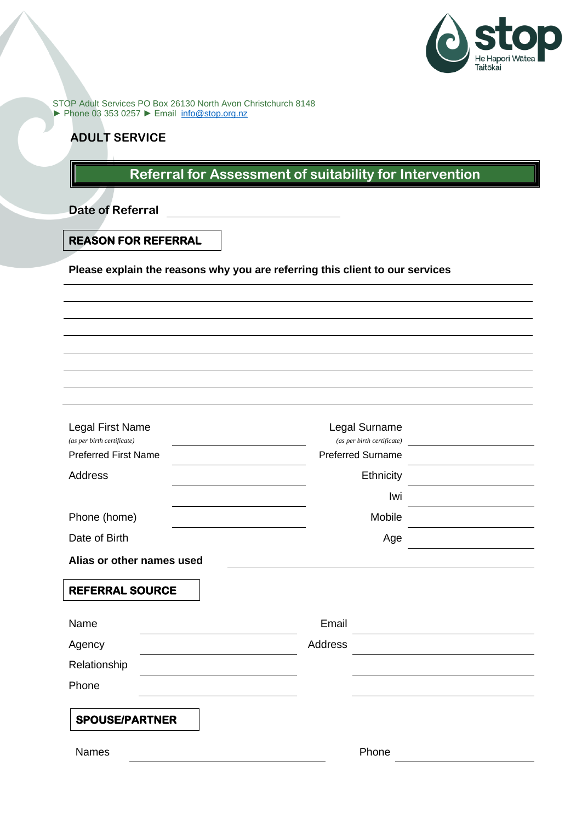

STOP Adult Services PO Box 26130 North Avon Christchurch 8148 ► Phone 03 353 0257 ► Email [info@stop.org.nz](mailto:info@stop.org.nz)

# **ADULT SERVICE**

# **Referral for Assessment of suitability for Intervention**

**Date of Referral**

### **REASON FOR REFERRAL**

**Please explain the reasons why you are referring this client to our services**

| Legal First Name<br>(as per birth certificate)<br><b>Preferred First Name</b><br>Address | Legal Surname<br>(as per birth certificate)<br><b>Preferred Surname</b><br><b>Ethnicity</b><br>Iwi |
|------------------------------------------------------------------------------------------|----------------------------------------------------------------------------------------------------|
| Phone (home)                                                                             | Mobile                                                                                             |
| Date of Birth                                                                            | Age                                                                                                |
| Alias or other names used                                                                |                                                                                                    |
| <b>REFERRAL SOURCE</b>                                                                   |                                                                                                    |
| Name                                                                                     | Email                                                                                              |
| Agency                                                                                   | Address                                                                                            |
| Relationship                                                                             |                                                                                                    |
| Phone                                                                                    |                                                                                                    |
| <b>SPOUSE/PARTNER</b>                                                                    |                                                                                                    |
| Names                                                                                    | Phone                                                                                              |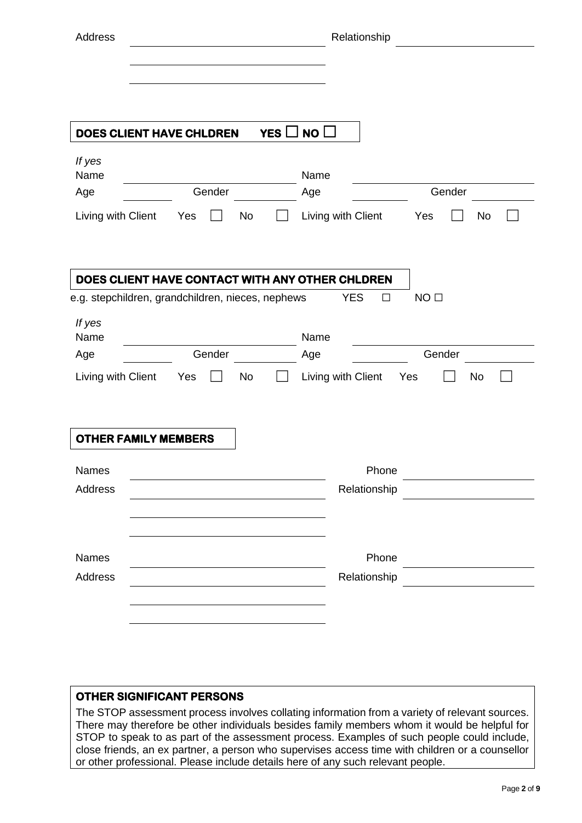| Address                     |                                                              |            | Relationship                 |                                                                                                                      |
|-----------------------------|--------------------------------------------------------------|------------|------------------------------|----------------------------------------------------------------------------------------------------------------------|
|                             |                                                              |            |                              |                                                                                                                      |
| DOES CLIENT HAVE CHLDREN    |                                                              | YES $\Box$ | NO                           |                                                                                                                      |
| If yes<br>Name              |                                                              |            | Name                         |                                                                                                                      |
| Age                         | Gender                                                       |            | Age                          | Gender                                                                                                               |
| Living with Client          | Yes<br>No<br>DOES CLIENT HAVE CONTACT WITH ANY OTHER CHLDREN |            | Living with Client           | Yes<br>No                                                                                                            |
| If yes<br>Name              | e.g. stepchildren, grandchildren, nieces, nephews            |            | <b>YES</b><br>$\Box$<br>Name | NO <sub>□</sub>                                                                                                      |
| Age                         | Gender                                                       |            | Age                          | Gender                                                                                                               |
| Living with Client          | Yes<br>No                                                    |            | Living with Client           | No<br>Yes                                                                                                            |
| <b>OTHER FAMILY MEMBERS</b> |                                                              |            |                              |                                                                                                                      |
| Names                       |                                                              |            | Phone                        |                                                                                                                      |
| Address                     |                                                              |            | Relationship                 |                                                                                                                      |
|                             |                                                              |            |                              |                                                                                                                      |
| Names                       |                                                              |            | Phone                        | <u> 1990 - Jan Jawa Barat, prima prima prima prima prima prima prima prima prima prima prima prima prima prima p</u> |
| Address                     |                                                              |            | Relationship                 |                                                                                                                      |
|                             |                                                              |            |                              |                                                                                                                      |
|                             |                                                              |            |                              |                                                                                                                      |

### **OTHER SIGNIFICANT PERSONS**

The STOP assessment process involves collating information from a variety of relevant sources. There may therefore be other individuals besides family members whom it would be helpful for STOP to speak to as part of the assessment process. Examples of such people could include, close friends, an ex partner, a person who supervises access time with children or a counsellor or other professional. Please include details here of any such relevant people.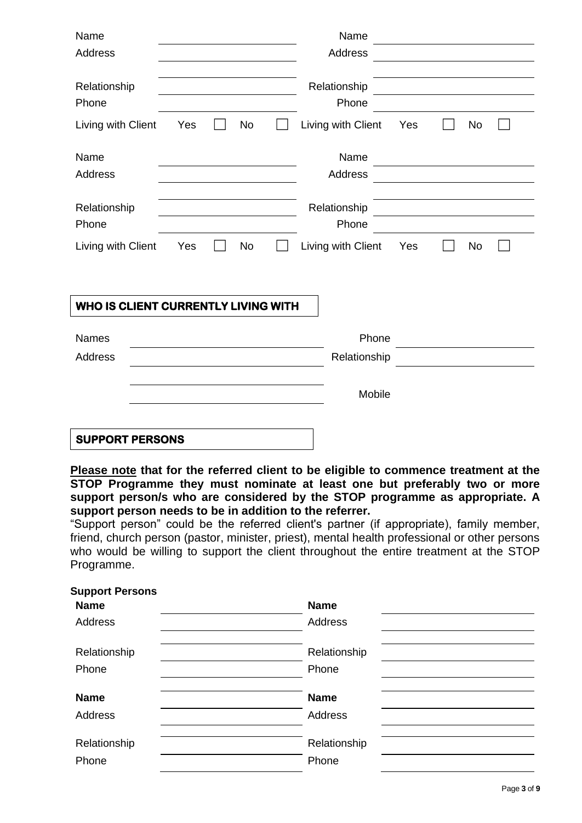| Name<br>Address                                                       |     |    | Name<br>Address                             |     |                                                                                                                      |    |  |
|-----------------------------------------------------------------------|-----|----|---------------------------------------------|-----|----------------------------------------------------------------------------------------------------------------------|----|--|
| Relationship<br>Phone<br>Living with Client                           | Yes | No | Relationship<br>Phone<br>Living with Client | Yes | <u> 1980 - Jan Samuel Barbara, politik eta politik eta politik eta politik eta politik eta politik eta politik e</u> | No |  |
| Name<br><b>Address</b>                                                |     |    | Name<br>Address                             |     |                                                                                                                      |    |  |
| Relationship<br>Phone                                                 |     |    | Relationship<br>Phone                       |     |                                                                                                                      |    |  |
| Living with Client                                                    | Yes | No | Living with Client                          | Yes |                                                                                                                      | No |  |
| WHO IS CLIENT CURRENTLY LIVING WITH<br><b>Names</b><br><b>Address</b> |     |    | Phone<br>Relationship<br>Mobile             |     |                                                                                                                      |    |  |
| <b>SUPPORT PERSONS</b>                                                |     |    |                                             |     |                                                                                                                      |    |  |

**Please note that for the referred client to be eligible to commence treatment at the STOP Programme they must nominate at least one but preferably two or more support person/s who are considered by the STOP programme as appropriate. A support person needs to be in addition to the referrer.**

"Support person" could be the referred client's partner (if appropriate), family member, friend, church person (pastor, minister, priest), mental health professional or other persons who would be willing to support the client throughout the entire treatment at the STOP Programme.

| <b>Support Persons</b> |                |  |
|------------------------|----------------|--|
| <b>Name</b>            | <b>Name</b>    |  |
| Address                | Address        |  |
| Relationship           | Relationship   |  |
| Phone                  | Phone          |  |
| <b>Name</b>            | <b>Name</b>    |  |
| <b>Address</b>         | <b>Address</b> |  |
| Relationship           | Relationship   |  |
| Phone                  | Phone          |  |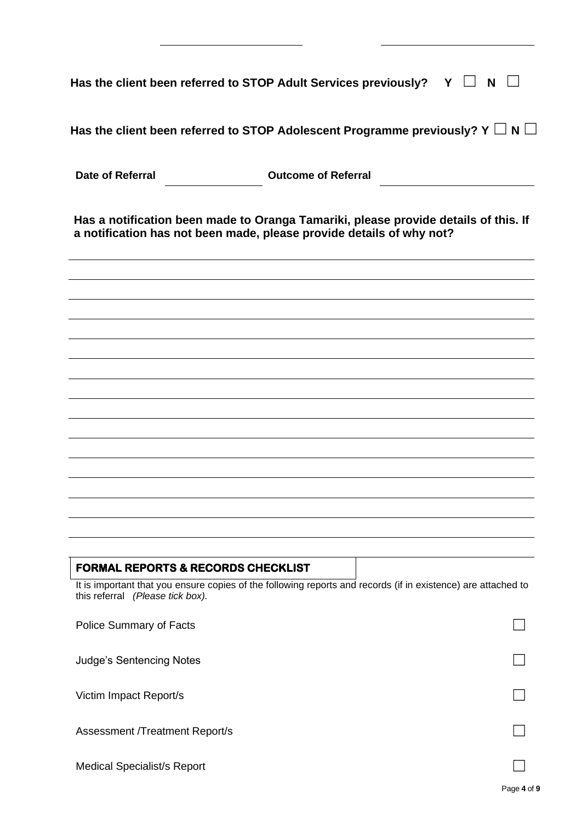| Has the client been referred to STOP Adult Services previously? $Y \Box N$                                                                                     |                            |  |
|----------------------------------------------------------------------------------------------------------------------------------------------------------------|----------------------------|--|
| Has the client been referred to STOP Adolescent Programme previously? Y $\Box$ N $\Box$                                                                        |                            |  |
| <b>Date of Referral</b>                                                                                                                                        | <b>Outcome of Referral</b> |  |
| Has a notification been made to Oranga Tamariki, please provide details of this. If<br>a notification has not been made, please provide details of why not?    |                            |  |
|                                                                                                                                                                |                            |  |
|                                                                                                                                                                |                            |  |
|                                                                                                                                                                |                            |  |
|                                                                                                                                                                |                            |  |
|                                                                                                                                                                |                            |  |
|                                                                                                                                                                |                            |  |
|                                                                                                                                                                |                            |  |
|                                                                                                                                                                |                            |  |
|                                                                                                                                                                |                            |  |
| <b>FORMAL REPORTS &amp; RECORDS CHECKLIST</b><br>It is important that you ensure copies of the following reports and records (if in existence) are attached to |                            |  |
| this referral (Please tick box).                                                                                                                               |                            |  |
| Police Summary of Facts                                                                                                                                        |                            |  |
| <b>Judge's Sentencing Notes</b>                                                                                                                                |                            |  |
| Victim Impact Report/s                                                                                                                                         |                            |  |
| <b>Assessment /Treatment Report/s</b>                                                                                                                          |                            |  |
| <b>Medical Specialist/s Report</b>                                                                                                                             |                            |  |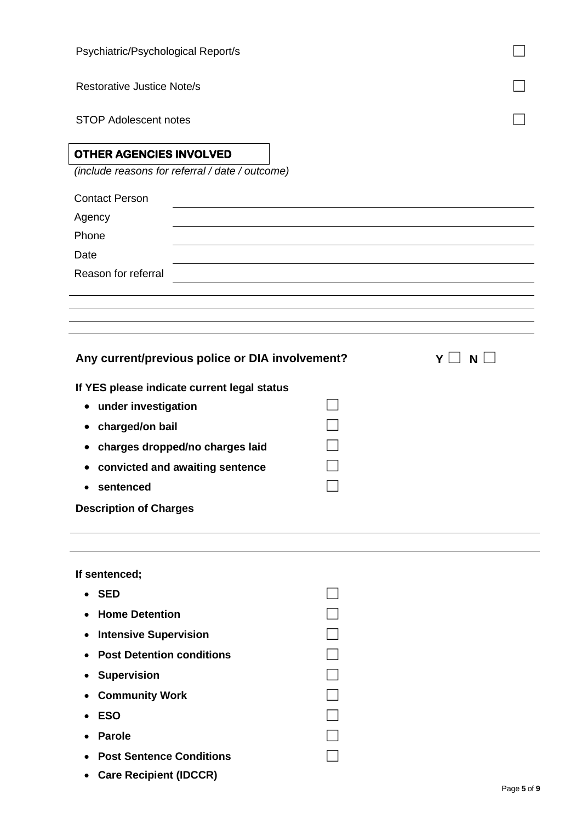| Psychiatric/Psychological Report/s              |               |  |  |
|-------------------------------------------------|---------------|--|--|
| <b>Restorative Justice Note/s</b>               |               |  |  |
| <b>STOP Adolescent notes</b>                    |               |  |  |
| OTHER AGENCIES INVOLVED                         |               |  |  |
| (include reasons for referral / date / outcome) |               |  |  |
| <b>Contact Person</b>                           |               |  |  |
| Agency                                          |               |  |  |
| Phone                                           |               |  |  |
| Date                                            |               |  |  |
| Reason for referral                             |               |  |  |
|                                                 |               |  |  |
|                                                 |               |  |  |
|                                                 |               |  |  |
| Any current/previous police or DIA involvement? | $Y \Box$<br>N |  |  |
| If YES please indicate current legal status     |               |  |  |
| under investigation<br>٠                        |               |  |  |
| charged/on bail                                 |               |  |  |
| charges dropped/no charges laid                 |               |  |  |
| convicted and awaiting sentence                 |               |  |  |
| sentenced                                       |               |  |  |
| <b>Description of Charges</b>                   |               |  |  |
|                                                 |               |  |  |
| If sentenced;                                   |               |  |  |

| • Home Detention            |  |
|-----------------------------|--|
| • Intensive Supervision     |  |
| • Post Detention conditions |  |
| • Supervision               |  |
| • Community Work            |  |
| ESO                         |  |
| Parole                      |  |
| • Post Sentence Conditions  |  |
|                             |  |

• **Care Recipient (IDCCR)**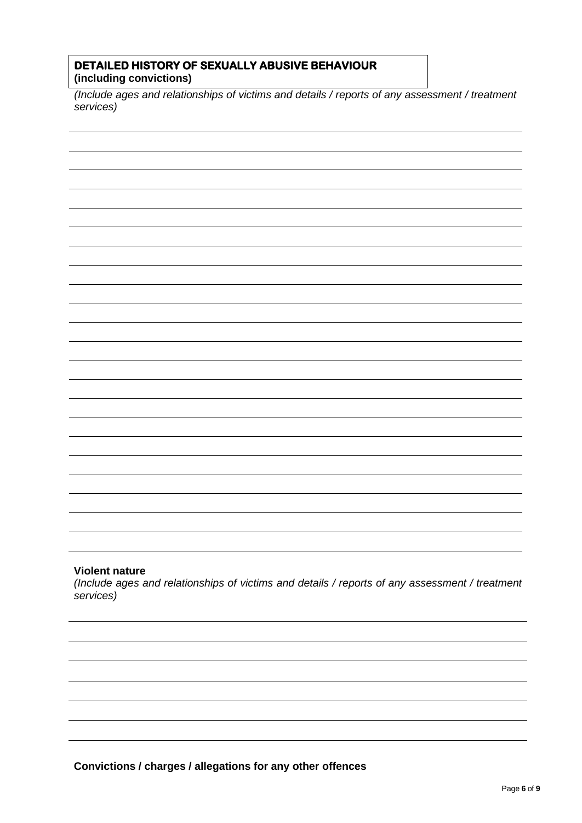#### **DETAILED HISTORY OF SEXUALLY ABUSIVE BEHAVIOUR (including convictions)**

*(Include ages and relationships of victims and details / reports of any assessment / treatment services)*

#### **Violent nature**

*(Include ages and relationships of victims and details / reports of any assessment / treatment services)*

**Convictions / charges / allegations for any other offences**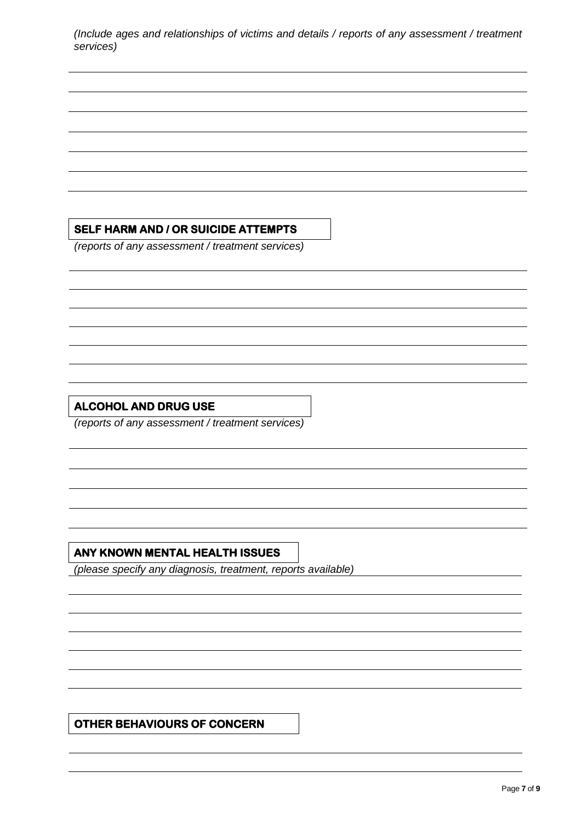*(Include ages and relationships of victims and details / reports of any assessment / treatment services)*

### **SELF HARM AND / OR SUICIDE ATTEMPTS**

*(reports of any assessment / treatment services)*

## **ALCOHOL AND DRUG USE**

*(reports of any assessment / treatment services)*

# **ANY KNOWN MENTAL HEALTH ISSUES**

*(please specify any diagnosis, treatment, reports available)*

**OTHER BEHAVIOURS OF CONCERN**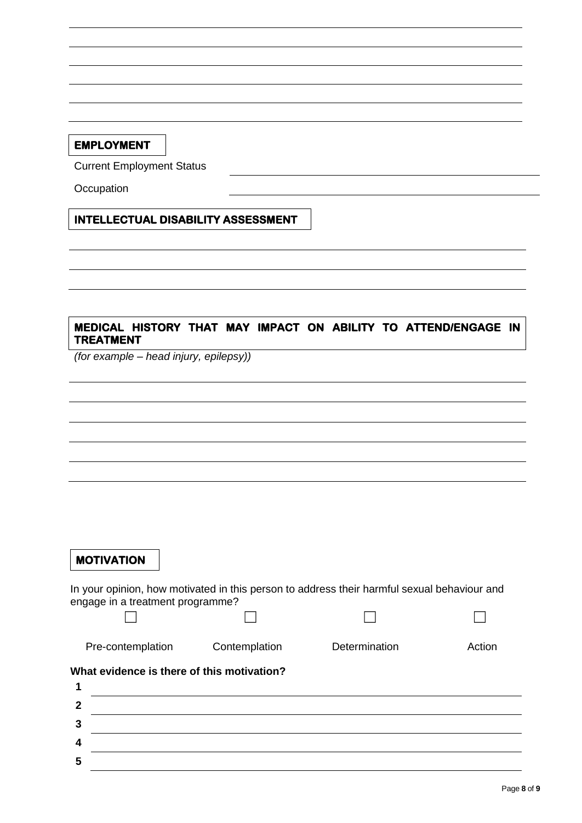### **EMPLOYMENT**

Current Employment Status

**Occupation** 

### **INTELLECTUAL DISABILITY ASSESSMENT**

### **MEDICAL HISTORY THAT MAY IMPACT ON ABILITY TO ATTEND/ENGAGE IN TREATMENT**

*(for example – head injury, epilepsy))*

### **MOTIVATION**

In your opinion, how motivated in this person to address their harmful sexual behaviour and engage in a treatment programme?

☐ ☐ ☐ ☐

Pre-contemplation Contemplation Determination Action

#### **What evidence is there of this motivation?**

| c |  |
|---|--|
| m |  |
|   |  |
| - |  |